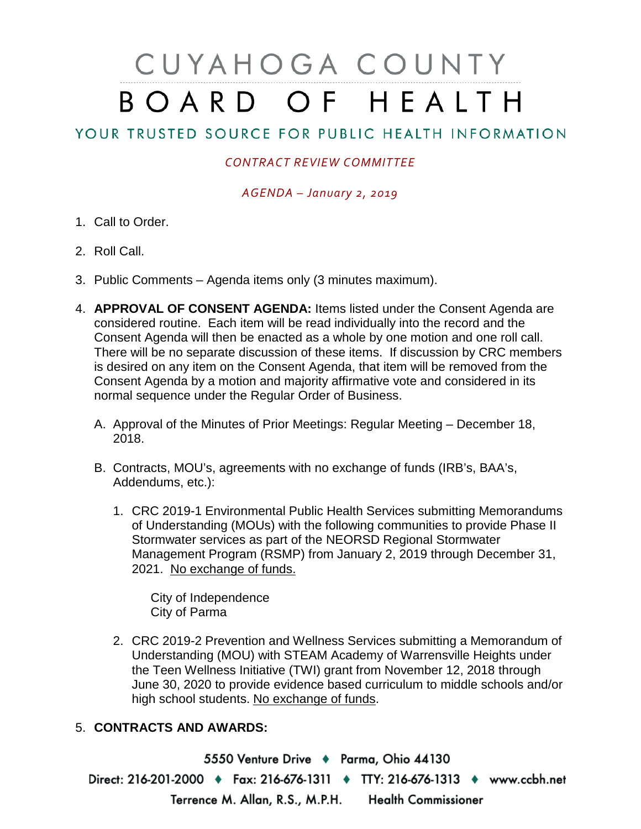## CUYAHOGA COUNTY BOARD OF HEALTH

## YOUR TRUSTED SOURCE FOR PUBLIC HEALTH INFORMATION

## *CONTRACT REVIEW COMMITTEE*

*AGENDA – January 2, 2019*

- 1. Call to Order.
- 2. Roll Call.
- 3. Public Comments Agenda items only (3 minutes maximum).
- 4. **APPROVAL OF CONSENT AGENDA:** Items listed under the Consent Agenda are considered routine. Each item will be read individually into the record and the Consent Agenda will then be enacted as a whole by one motion and one roll call. There will be no separate discussion of these items. If discussion by CRC members is desired on any item on the Consent Agenda, that item will be removed from the Consent Agenda by a motion and majority affirmative vote and considered in its normal sequence under the Regular Order of Business.
	- A. Approval of the Minutes of Prior Meetings: Regular Meeting December 18, 2018.
	- B. Contracts, MOU's, agreements with no exchange of funds (IRB's, BAA's, Addendums, etc.):
		- 1. CRC 2019-1 Environmental Public Health Services submitting Memorandums of Understanding (MOUs) with the following communities to provide Phase II Stormwater services as part of the NEORSD Regional Stormwater Management Program (RSMP) from January 2, 2019 through December 31, 2021. No exchange of funds.

City of Independence City of Parma

2. CRC 2019-2 Prevention and Wellness Services submitting a Memorandum of Understanding (MOU) with STEAM Academy of Warrensville Heights under the Teen Wellness Initiative (TWI) grant from November 12, 2018 through June 30, 2020 to provide evidence based curriculum to middle schools and/or high school students. No exchange of funds.

## 5. **CONTRACTS AND AWARDS:**

5550 Venture Drive + Parma, Ohio 44130 Direct: 216-201-2000 • Fax: 216-676-1311 • TTY: 216-676-1313 • www.ccbh.net Terrence M. Allan, R.S., M.P.H. Health Commissioner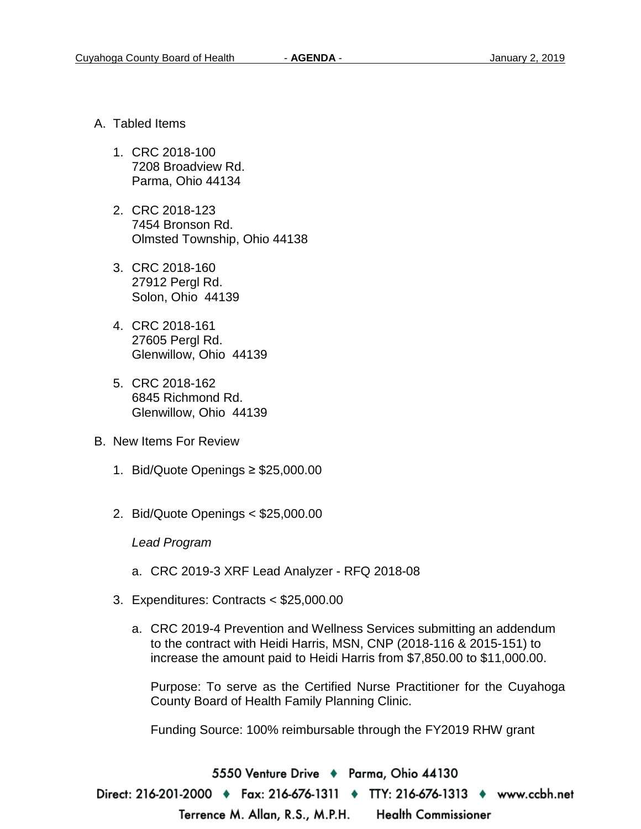- A. Tabled Items
	- 1. CRC 2018-100 7208 Broadview Rd. Parma, Ohio 44134
	- 2. CRC 2018-123 7454 Bronson Rd. Olmsted Township, Ohio 44138
	- 3. CRC 2018-160 27912 Pergl Rd. Solon, Ohio 44139
	- 4. CRC 2018-161 27605 Pergl Rd. Glenwillow, Ohio 44139
	- 5. CRC 2018-162 6845 Richmond Rd. Glenwillow, Ohio 44139
- B. New Items For Review
	- 1. Bid/Quote Openings ≥ \$25,000.00
	- 2. Bid/Quote Openings < \$25,000.00

*Lead Program*

- a. CRC 2019-3 XRF Lead Analyzer RFQ 2018-08
- 3. Expenditures: Contracts < \$25,000.00
	- a. CRC 2019-4 Prevention and Wellness Services submitting an addendum to the contract with Heidi Harris, MSN, CNP (2018-116 & 2015-151) to increase the amount paid to Heidi Harris from \$7,850.00 to \$11,000.00.

Purpose: To serve as the Certified Nurse Practitioner for the Cuyahoga County Board of Health Family Planning Clinic.

Funding Source: 100% reimbursable through the FY2019 RHW grant

5550 Venture Drive ♦ Parma, Ohio 44130 Direct: 216-201-2000 ♦ Fax: 216-676-1311 ♦ TTY: 216-676-1313 ♦ www.ccbh.net Terrence M. Allan, R.S., M.P.H. **Health Commissioner**